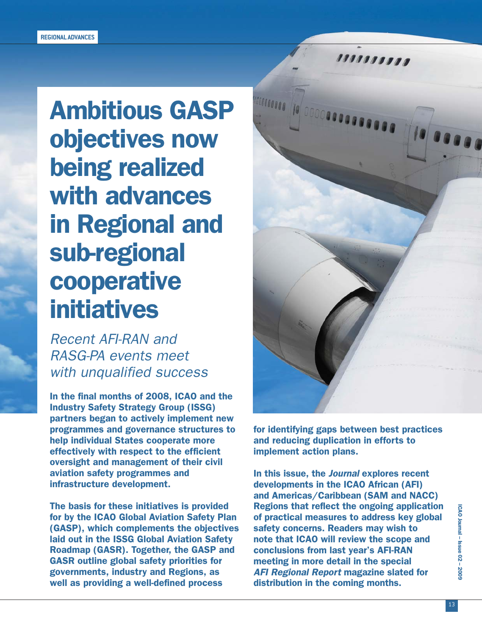# Ambitious GASP objectives now being realized with advances in Regional and sub-regional cooperative initiatives

Recent AFI-RAN and RASG-PA events meet with unqualified success

In the final months of 2008, ICAO and the Industry Safety Strategy Group (ISSG) partners began to actively implement new programmes and governance structures to help individual States cooperate more effectively with respect to the efficient oversight and management of their civil aviation safety programmes and infrastructure development.

The basis for these initiatives is provided for by the ICAO Global Aviation Safety Plan (GASP), which complements the objectives laid out in the ISSG Global Aviation Safety Roadmap (GASR). Together, the GASP and GASR outline global safety priorities for governments, industry and Regions, as well as providing a well-defined process



for identifying gaps between best practices and reducing duplication in efforts to implement action plans.

In this issue, the Journal explores recent developments in the ICAO African (AFI) and Americas/Caribbean (SAM and NACC) Regions that reflect the ongoing application of practical measures to address key global safety concerns. Readers may wish to note that ICAO will review the scope and conclusions from last year's AFI-RAN meeting in more detail in the special AFI Regional Report magazine slated for distribution in the coming months.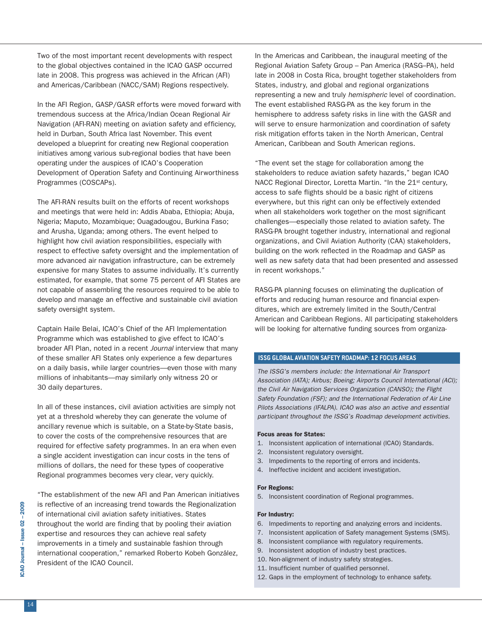Two of the most important recent developments with respect to the global objectives contained in the ICAO GASP occurred late in 2008. This progress was achieved in the African (AFI) and Americas/Caribbean (NACC/SAM) Regions respectively.

In the AFI Region, GASP/GASR efforts were moved forward with tremendous success at the Africa/Indian Ocean Regional Air Navigation (AFI-RAN) meeting on aviation safety and efficiency, held in Durban, South Africa last November. This event developed a blueprint for creating new Regional cooperation initiatives among various sub-regional bodies that have been operating under the auspices of ICAO's Cooperation Development of Operation Safety and Continuing Airworthiness Programmes (COSCAPs).

The AFI-RAN results built on the efforts of recent workshops and meetings that were held in: Addis Ababa, Ethiopia; Abuja, Nigeria; Maputo, Mozambique; Ouagadougou, Burkina Faso; and Arusha, Uganda; among others. The event helped to highlight how civil aviation responsibilities, especially with respect to effective safety oversight and the implementation of more advanced air navigation infrastructure, can be extremely expensive for many States to assume individually. It's currently estimated, for example, that some 75 percent of AFI States are not capable of assembling the resources required to be able to develop and manage an effective and sustainable civil aviation safety oversight system.

Captain Haile Belai, ICAO's Chief of the AFI Implementation Programme which was established to give effect to ICAO's broader AFI Plan, noted in a recent Journal interview that many of these smaller AFI States only experience a few departures on a daily basis, while larger countries—even those with many millions of inhabitants—may similarly only witness 20 or 30 daily departures.

In all of these instances, civil aviation activities are simply not yet at a threshold whereby they can generate the volume of ancillary revenue which is suitable, on a State-by-State basis, to cover the costs of the comprehensive resources that are required for effective safety programmes. In an era when even a single accident investigation can incur costs in the tens of millions of dollars, the need for these types of cooperative Regional programmes becomes very clear, very quickly.

"The establishment of the new AFI and Pan American initiatives is reflective of an increasing trend towards the Regionalization of international civil aviation safety initiatives. States throughout the world are finding that by pooling their aviation expertise and resources they can achieve real safety improvements in a timely and sustainable fashion through international cooperation," remarked Roberto Kobeh González, President of the ICAO Council.

In the Americas and Caribbean, the inaugural meeting of the Regional Aviation Safety Group – Pan America (RASG–PA), held late in 2008 in Costa Rica, brought together stakeholders from States, industry, and global and regional organizations representing a new and truly hemispheric level of coordination. The event established RASG-PA as the key forum in the hemisphere to address safety risks in line with the GASR and will serve to ensure harmonization and coordination of safety risk mitigation efforts taken in the North American, Central American, Caribbean and South American regions.

"The event set the stage for collaboration among the stakeholders to reduce aviation safety hazards," began ICAO NACC Regional Director, Loretta Martin. "In the 21<sup>st</sup> century, access to safe flights should be a basic right of citizens everywhere, but this right can only be effectively extended when all stakeholders work together on the most significant challenges—especially those related to aviation safety. The RASG-PA brought together industry, international and regional organizations, and Civil Aviation Authority (CAA) stakeholders, building on the work reflected in the Roadmap and GASP as well as new safety data that had been presented and assessed in recent workshops."

RASG-PA planning focuses on eliminating the duplication of efforts and reducing human resource and financial expenditures, which are extremely limited in the South/Central American and Caribbean Regions. All participating stakeholders will be looking for alternative funding sources from organiza-

#### **ISSG GLOBAL AVIATION SAFETY ROADMAP: 12 FOCUS AREAS**

The ISSG's members include: the International Air Transport Association (IATA); Airbus; Boeing; Airports Council International (ACI); the Civil Air Navigation Services Organization (CANSO); the Flight Safety Foundation (FSF); and the International Federation of Air Line Pilots Associations (IFALPA). ICAO was also an active and essential participant throughout the ISSG's Roadmap development activities.

#### Focus areas for States:

- 1. Inconsistent application of international (ICAO) Standards.
- 2. Inconsistent regulatory oversight.
- 3. Impediments to the reporting of errors and incidents.
- 4. Ineffective incident and accident investigation.

#### For Regions:

5. Inconsistent coordination of Regional programmes.

### For Industry:

- 6. Impediments to reporting and analyzing errors and incidents.
- 7. Inconsistent application of Safety management Systems (SMS).
- 8. Inconsistent compliance with regulatory requirements.
- 9. Inconsistent adoption of industry best practices.
- 10. Non-alignment of industry safety strategies.
- 11. Insufficient number of qualified personnel.
- 12. Gaps in the employment of technology to enhance safety.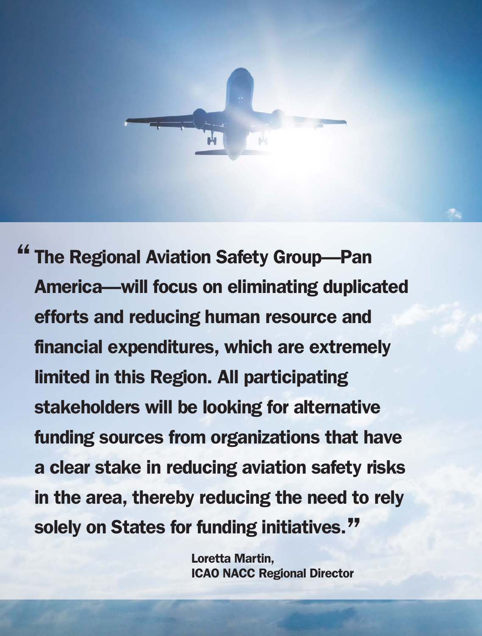

<sup>"</sup> The Regional Aviation Safety Group-Pan America—will focus on eliminating duplicated efforts and reducing human resource and financial expenditures, which are extremely limited in this Region. All participating stakeholders will be looking for alternative funding sources from organizations that have a clear stake in reducing aviation safety risks in the area, thereby reducing the need to rely solely on States for funding initiatives."

> Loretta Martin, ICAO NACC Regional Director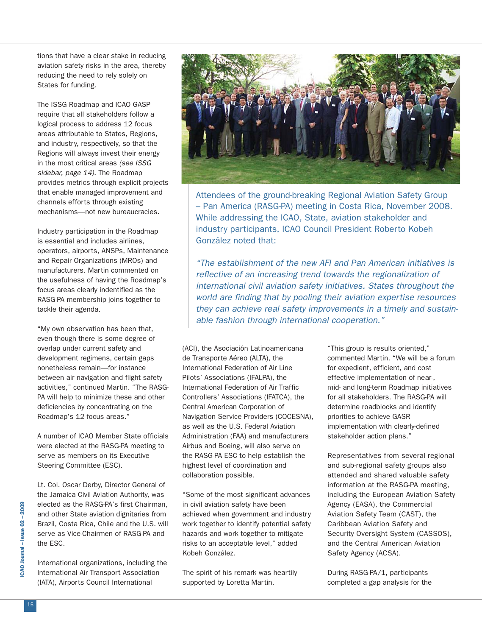tions that have a clear stake in reducing aviation safety risks in the area, thereby reducing the need to rely solely on States for funding.

The ISSG Roadmap and ICAO GASP require that all stakeholders follow a logical process to address 12 focus areas attributable to States, Regions, and industry, respectively, so that the Regions will always invest their energy in the most critical areas (see ISSG sidebar, page 14). The Roadmap provides metrics through explicit projects that enable managed improvement and channels efforts through existing mechanisms—not new bureaucracies.

Industry participation in the Roadmap is essential and includes airlines, operators, airports, ANSPs, Maintenance and Repair Organizations (MROs) and manufacturers. Martin commented on the usefulness of having the Roadmap's focus areas clearly indentified as the RASG-PA membership joins together to tackle their agenda.

"My own observation has been that, even though there is some degree of overlap under current safety and development regimens, certain gaps nonetheless remain—for instance between air navigation and flight safety activities," continued Martin. "The RASG-PA will help to minimize these and other deficiencies by concentrating on the Roadmap's 12 focus areas."

A number of ICAO Member State officials were elected at the RASG-PA meeting to serve as members on its Executive Steering Committee (ESC).

Lt. Col. Oscar Derby, Director General of the Jamaica Civil Aviation Authority, was elected as the RASG-PA's first Chairman, and other State aviation dignitaries from Brazil, Costa Rica, Chile and the U.S. will serve as Vice-Chairmen of RASG-PA and the ESC.

International organizations, including the International Air Transport Association (IATA), Airports Council International



Attendees of the ground-breaking Regional Aviation Safety Group – Pan America (RASG-PA) meeting in Costa Rica, November 2008. While addressing the ICAO, State, aviation stakeholder and industry participants, ICAO Council President Roberto Kobeh González noted that:

"The establishment of the new AFI and Pan American initiatives is reflective of an increasing trend towards the regionalization of international civil aviation safety initiatives. States throughout the world are finding that by pooling their aviation expertise resources they can achieve real safety improvements in a timely and sustainable fashion through international cooperation."

(ACI), the Asociación Latinoamericana de Transporte Aéreo (ALTA), the International Federation of Air Line Pilots' Associations (IFALPA), the International Federation of Air Traffic Controllers' Associations (IFATCA), the Central American Corporation of Navigation Service Providers (COCESNA), as well as the U.S. Federal Aviation Administration (FAA) and manufacturers Airbus and Boeing, will also serve on the RASG-PA ESC to help establish the highest level of coordination and collaboration possible.

"Some of the most significant advances in civil aviation safety have been achieved when government and industry work together to identify potential safety hazards and work together to mitigate risks to an acceptable level," added Kobeh González.

The spirit of his remark was heartily supported by Loretta Martin.

"This group is results oriented," commented Martin. "We will be a forum for expedient, efficient, and cost effective implementation of near-, mid- and long-term Roadmap initiatives for all stakeholders. The RASG-PA will determine roadblocks and identify priorities to achieve GASR implementation with clearly-defined stakeholder action plans."

Representatives from several regional and sub-regional safety groups also attended and shared valuable safety information at the RASG-PA meeting, including the European Aviation Safety Agency (EASA), the Commercial Aviation Safety Team (CAST), the Caribbean Aviation Safety and Security Oversight System (CASSOS), and the Central American Aviation Safety Agency (ACSA).

During RASG-PA/1, participants completed a gap analysis for the